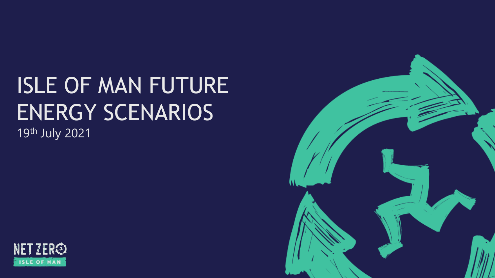# ISLE OF MAN FUTURE ENERGY SCENARIOS 19th July 2021



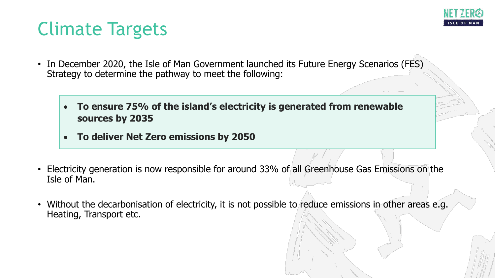

# Climate Targets

- In December 2020, the Isle of Man Government launched its Future Energy Scenarios (FES) Strategy to determine the pathway to meet the following:
	- **To ensure 75% of the island's electricity is generated from renewable sources by 2035**
	- **To deliver Net Zero emissions by 2050**
- Electricity generation is now responsible for around 33% of all Greenhouse Gas Emissions on the Isle of Man.
- Without the decarbonisation of electricity, it is not possible to reduce emissions in other areas e.g. Heating, Transport etc.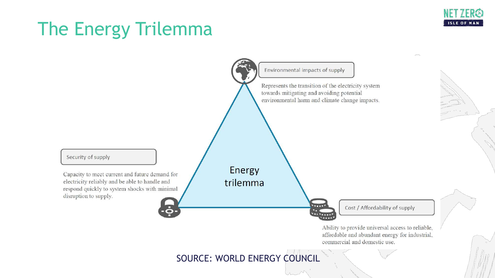

# The Energy Trilemma



affordable and abundant energy for industrial, commercial and domestic use.

#### SOURCE: WORLD ENERGY COUNCIL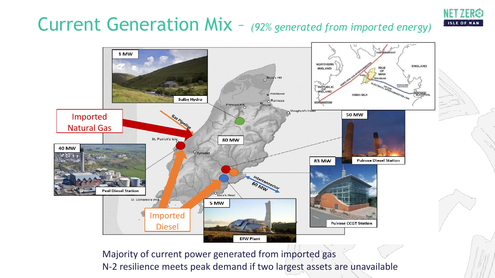# Current Generation Mix – *(92% generated from imported energy)*

**ISLE OF MA** 



Majority of current power generated from imported gas N-2 resilience meets peak demand if two largest assets are unavailable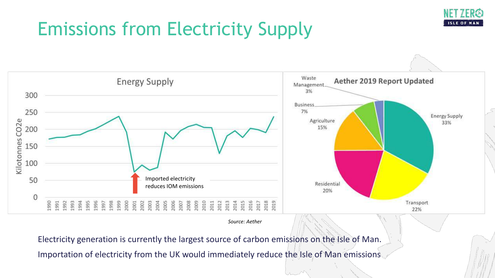### ISLE OF

# Emissions from Electricity Supply



*Source: Aether*

Electricity generation is currently the largest source of carbon emissions on the Isle of Man. Importation of electricity from the UK would immediately reduce the Isle of Man emissions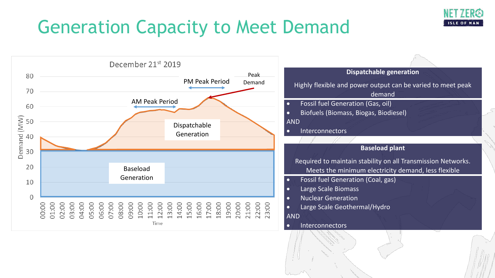

# Generation Capacity to Meet Demand

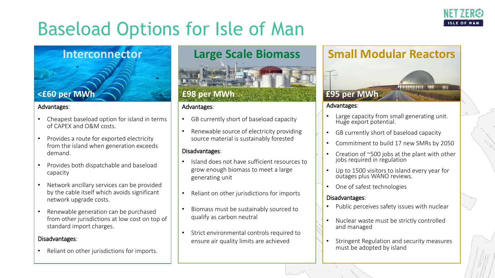

# Baseload Options for Isle of Man

#### **Interconnector**

#### Advantages:

- Cheapest baseload option for island in terms of CAPEX and O&M costs.
- Provides a route for exported electricity from the island when generation exceeds demand.
- Provides both dispatchable and baseload capacity
- Network ancillary services can be provided by the cable itself which avoids significant network upgrade costs.
- Renewable generation can be purchased from other jurisdictions at low cost on top of standard import charges.

#### Disadvantages:

• Reliant on other jurisdictions for imports.

#### **Large Scale Biomass**



#### Advantages:

- GB currently short of baseload capacity
- Renewable source of electricity providing source material is sustainably forested

#### Disadvantages:

- Island does not have sufficient resources to grow enough biomass to meet a large generating unit
- Reliant on other jurisdictions for imports
- Biomass must be sustainably sourced to qualify as carbon neutral
- Strict environmental controls required to ensure air quality limits are achieved

#### **Small Modular Reactors**



#### Advantages:

- Large capacity from small generating unit. Huge export potential.
- GB currently short of baseload capacity
- Commitment to build 17 new SMRs by 2050
- Creation of ~500 jobs at the plant with other jobs required in regulation
- Up to 1500 visitors to island every year for outages plus WANO reviews.
- One of safest technologies

#### Disadvantages:

- Public perceives safety issues with nuclear
- Nuclear waste must be strictly controlled and managed
- Stringent Regulation and security measures must be adopted by island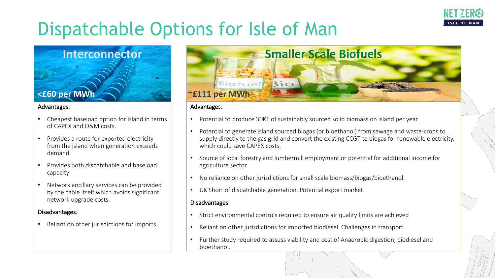

# Dispatchable Options for Isle of Man

### **Interconnector**

#### Advantages:

- Cheapest baseload option for island in terms of CAPEX and O&M costs.
- Provides a route for exported electricity from the island when generation exceeds demand.
- Provides both dispatchable and baseload capacity
- Network ancillary services can be provided by the cable itself which avoids significant network upgrade costs.

#### Disadvantages:

• Reliant on other jurisdictions for imports.



#### Advantages:

- Potential to produce 30KT of sustainably sourced solid biomass on island per year
- Potential to generate island sourced biogas (or bioethanol) from sewage and waste-crops to supply directly to the gas grid and convert the existing CCGT to biogas for renewable electricity, which could save CAPEX costs.
- Source of local forestry and lumbermill employment or potential for additional income for agriculture sector
- No reliance on other jurisdictions for small scale biomass/biogas/bioethanol.
- UK Short of dispatchable generation. Potential export market.

#### Disadvantages

- Strict environmental controls required to ensure air quality limits are achieved
- Reliant on other jurisdictions for imported biodiesel. Challenges in transport.
- Further study required to assess viability and cost of Anaerobic digestion, biodiesel and bioethanol.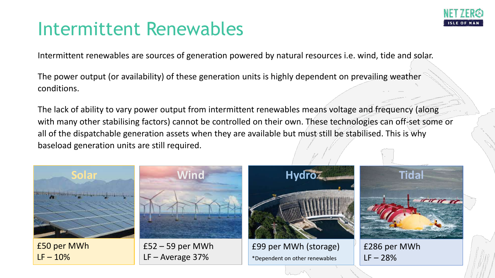

### Intermittent Renewables

Intermittent renewables are sources of generation powered by natural resources i.e. wind, tide and solar.

**<£60 per MWh** The power output (or availability) of these generation units is highly dependent on prevailing weather conditions.

The lack of ability to vary power output from intermittent renewables means voltage and frequency (along with many other stabilising factors) cannot be controlled on their own. These technologies can off-set some or all of the dispatchable generation assets when they are available but must still be stabilised. This is why baseload generation units are still required.

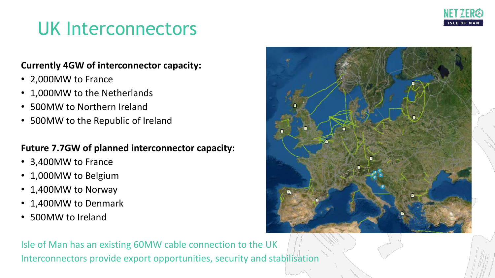

### UK Interconnectors

#### **Currently 4GW of interconnector capacity:**

- 2,000MW to France
- 1,000MW to the Netherlands
- 500MW to Northern Ireland
- 500MW to the Republic of Ireland

#### **Future 7.7GW of planned interconnector capacity:**

- 3,400MW to France
- 1,000MW to Belgium
- 1,400MW to Norway
- 1,400MW to Denmark
- 500MW to Ireland



Isle of Man has an existing 60MW cable connection to the UK Interconnectors provide export opportunities, security and stabilisation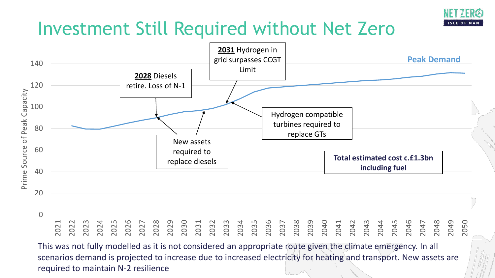

## Investment Still Required without Net Zero



This was not fully modelled as it is not considered an appropriate route given the climate emergency. In all scenarios demand is projected to increase due to increased electricity for heating and transport. New assets are required to maintain N-2 resilience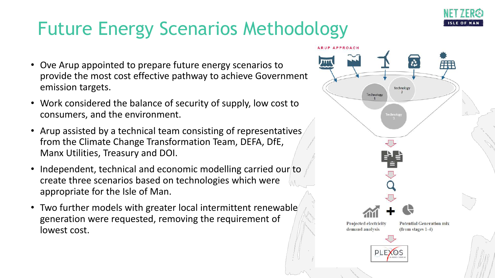

# Future Energy Scenarios Methodology

- Ove Arup appointed to prepare future energy scenarios to provide the most cost effective pathway to achieve Government emission targets.
- Work considered the balance of security of supply, low cost to consumers, and the environment.
- Arup assisted by a technical team consisting of representatives from the Climate Change Transformation Team, DEFA, DfE, Manx Utilities, Treasury and DOI.
- Independent, technical and economic modelling carried our to create three scenarios based on technologies which were appropriate for the Isle of Man.
- Two further models with greater local intermittent renewable generation were requested, removing the requirement of lowest cost.

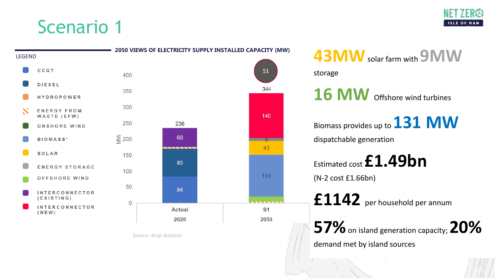



*Source: Arup Analysis*

#### demand met by island sources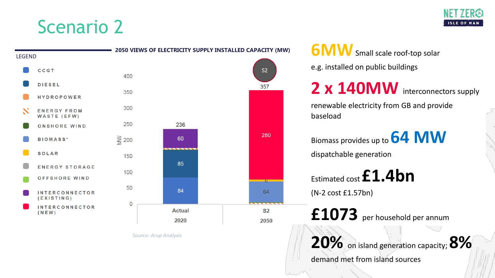



*Source: Arup Analysis*

e.g. installed on public buildings

2 x 140MW interconnectors supply

renewable electricity from GB and provide baseload

Biomass provides up to **64 MW** dispatchable generation

Estimated cost **£1.4bn**

(N-2 cost £1.57bn)

**£1073** per household per annum

**20%** on island generation capacity; **8%**

demand met from island sources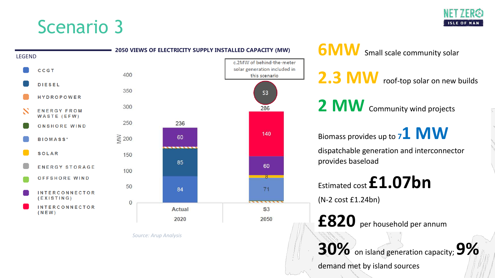



*Source: Arup Analysis*

this scenario

 $S3$ 

286

140

60

 $8 -$ 

71

 $\overline{\phantom{0}}$ 

 $S<sub>3</sub>$ 

2050

2.3 MW roof-top solar on new builds

2 **MW** Community wind projects

Biomass provides up to **71 MW** dispatchable generation and interconnector provides baseload

Estimated cost **£1.07bn** (N-2 cost £1.24bn)

**£820** per household per annum

**30%** on island generation capacity; **9%**

demand met by island sources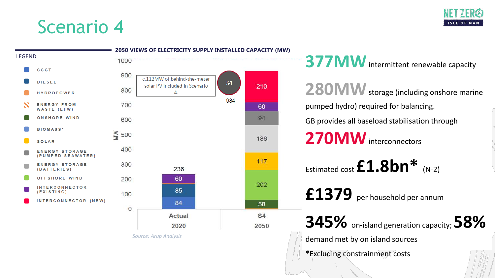

| 1000<br><b>CCGT</b><br>900<br>c.112MW of behind-the-meter<br><b>DIESEL</b><br>S4<br>solar PV included in Scenario<br>210<br>800<br>4.<br><b>HYDROPOWER</b><br>934<br>x<br><b>ENERGY FROM</b><br>700<br>60<br>WASTE (EFW)<br><b>ONSHORE WIND</b><br>94<br>600<br><b>BIOMASS*</b><br>$\geqslant$ 500<br>186<br><b>SOLAR</b><br>400<br><b>ENERGY STORAGE</b><br>(PUMPED SEAWATER)<br>117<br>300<br><b>ENERGY STORAGE</b><br>236<br>(BATTERIES)<br><b>OFFSHORE WIND</b><br>60<br>200<br>202<br><b>INTERCONNECTOR</b><br>85<br>(EXISTING)<br>100<br>INTERCONNECTOR (NEW)<br>84<br>58<br>$\circ$<br>Actual<br><b>S4</b><br>2020<br>2050 | <b>LEGEND</b> |  | 2050 VIEWS OF ELECTRICITY SUPPLY INSTALLED CAPACITY (MW) |  |  |  |  |
|-----------------------------------------------------------------------------------------------------------------------------------------------------------------------------------------------------------------------------------------------------------------------------------------------------------------------------------------------------------------------------------------------------------------------------------------------------------------------------------------------------------------------------------------------------------------------------------------------------------------------------------|---------------|--|----------------------------------------------------------|--|--|--|--|
|                                                                                                                                                                                                                                                                                                                                                                                                                                                                                                                                                                                                                                   |               |  |                                                          |  |  |  |  |
|                                                                                                                                                                                                                                                                                                                                                                                                                                                                                                                                                                                                                                   |               |  |                                                          |  |  |  |  |
|                                                                                                                                                                                                                                                                                                                                                                                                                                                                                                                                                                                                                                   |               |  |                                                          |  |  |  |  |
|                                                                                                                                                                                                                                                                                                                                                                                                                                                                                                                                                                                                                                   |               |  |                                                          |  |  |  |  |
|                                                                                                                                                                                                                                                                                                                                                                                                                                                                                                                                                                                                                                   |               |  |                                                          |  |  |  |  |
|                                                                                                                                                                                                                                                                                                                                                                                                                                                                                                                                                                                                                                   |               |  |                                                          |  |  |  |  |
|                                                                                                                                                                                                                                                                                                                                                                                                                                                                                                                                                                                                                                   |               |  |                                                          |  |  |  |  |
|                                                                                                                                                                                                                                                                                                                                                                                                                                                                                                                                                                                                                                   |               |  |                                                          |  |  |  |  |
|                                                                                                                                                                                                                                                                                                                                                                                                                                                                                                                                                                                                                                   |               |  |                                                          |  |  |  |  |
|                                                                                                                                                                                                                                                                                                                                                                                                                                                                                                                                                                                                                                   |               |  |                                                          |  |  |  |  |
|                                                                                                                                                                                                                                                                                                                                                                                                                                                                                                                                                                                                                                   |               |  |                                                          |  |  |  |  |
|                                                                                                                                                                                                                                                                                                                                                                                                                                                                                                                                                                                                                                   |               |  |                                                          |  |  |  |  |
|                                                                                                                                                                                                                                                                                                                                                                                                                                                                                                                                                                                                                                   |               |  |                                                          |  |  |  |  |
|                                                                                                                                                                                                                                                                                                                                                                                                                                                                                                                                                                                                                                   |               |  |                                                          |  |  |  |  |
|                                                                                                                                                                                                                                                                                                                                                                                                                                                                                                                                                                                                                                   |               |  |                                                          |  |  |  |  |

*Source: Arup Analysis*

**377MW** intermittent renewable capacity

**280MW** storage (including onshore marine pumped hydro) required for balancing. GB provides all baseload stabilisation through **270MW**interconnectors Estimated cost **£1.8bn\*** (N-2)

**£1379** per household per annum

**345%** on-island generation capacity; **58%** demand met by on island sources \*Excluding constrainment costs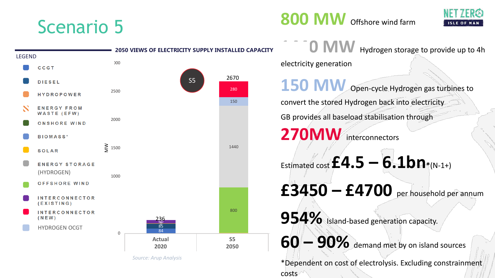

*Source: Arup Analysis*





**1440 MW** Hydrogen storage to provide up to 4h electricity generation

**150 MW** Open-cycle Hydrogen gas turbines to convert the stored Hydrogen back into electricity GB provides all baseload stabilisation through 270MW interconnectors

Estimated cost **£4.5 – 6.1bn\***(N-1+)

**£3450 – £4700** per household per annum

**954%** Island-based generation capacity.

**60 – 90%** demand met by on island sources

\*Dependent on cost of electrolysis. Excluding constrainment costs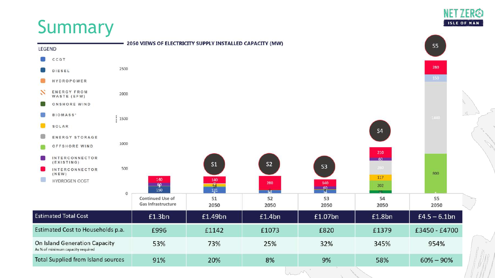# Summary



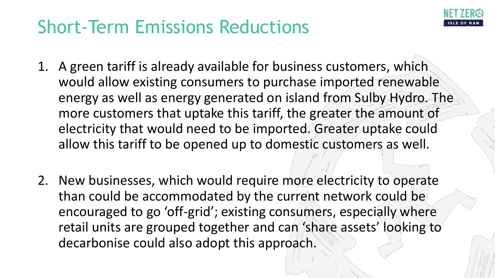

# Short-Term Emissions Reductions

- 1. A green tariff is already available for business customers, which would allow existing consumers to purchase imported renewable energy as well as energy generated on island from Sulby Hydro. The more customers that uptake this tariff, the greater the amount of electricity that would need to be imported. Greater uptake could allow this tariff to be opened up to domestic customers as well.
- 2. New businesses, which would require more electricity to operate than could be accommodated by the current network could be encouraged to go 'off-grid'; existing consumers, especially where retail units are grouped together and can 'share assets' looking to decarbonise could also adopt this approach.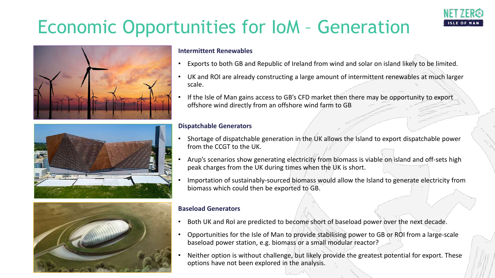# Economic Opportunities for IoM – Generation





#### **Intermittent Renewables**

- Exports to both GB and Republic of Ireland from wind and solar on island likely to be limited.
- UK and ROI are already constructing a large amount of intermittent renewables at much larger scale.
- If the Isle of Man gains access to GB's CFD market then there may be opportunity to export offshore wind directly from an offshore wind farm to GB

#### **Dispatchable Generators**

- Shortage of dispatchable generation in the UK allows the Island to export dispatchable power from the CCGT to the UK.
- Arup's scenarios show generating electricity from biomass is viable on island and off-sets high peak charges from the UK during times when the UK is short.
- Importation of sustainably-sourced biomass would allow the Island to generate electricity from biomass which could then be exported to GB.



- Both UK and RoI are predicted to become short of baseload power over the next decade.
- Opportunities for the Isle of Man to provide stabilising power to GB or ROI from a large-scale baseload power station, e.g. biomass or a small modular reactor?
- Neither option is without challenge, but likely provide the greatest potential for export. These options have not been explored in the analysis.



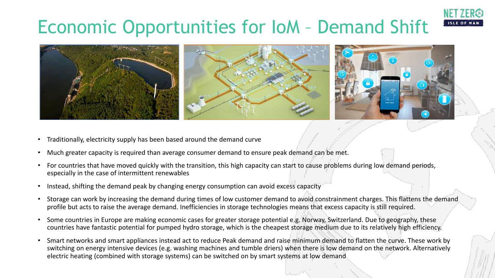# Economic Opportunities for IoM – Demand Shift



- Traditionally, electricity supply has been based around the demand curve
- Much greater capacity is required than average consumer demand to ensure peak demand can be met.
- For countries that have moved quickly with the transition, this high capacity can start to cause problems during low demand periods, especially in the case of intermittent renewables
- Instead, shifting the demand peak by changing energy consumption can avoid excess capacity
- Storage can work by increasing the demand during times of low customer demand to avoid constrainment charges. This flattens the demand profile but acts to raise the average demand. Inefficiencies in storage technologies means that excess capacity is still required.
- Some countries in Europe are making economic cases for greater storage potential e.g. Norway, Switzerland. Due to geography, these countries have fantastic potential for pumped hydro storage, which is the cheapest storage medium due to its relatively high efficiency.
- Smart networks and smart appliances instead act to reduce Peak demand and raise minimum demand to flatten the curve. These work by switching on energy intensive devices (e.g. washing machines and tumble driers) when there is low demand on the network. Alternatively electric heating (combined with storage systems) can be switched on by smart systems at low demand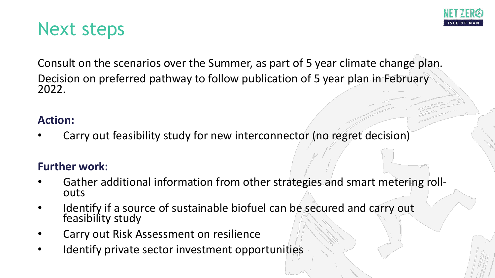### Next steps

Consult on the scenarios over the Summer, as part of 5 year climate change plan. Decision on preferred pathway to follow publication of 5 year plan in February 2022.

#### **Action:**

Carry out feasibility study for new interconnector (no regret decision)

#### **Further work:**

- Gather additional information from other strategies and smart metering roll-<br>outs
- Identify if a source of sustainable biofuel can be secured and carry out feasibility study
- Carry out Risk Assessment on resilience
- Identify private sector investment opportunities